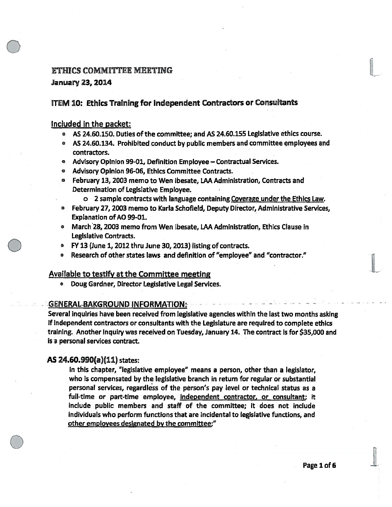## ETHICS COMMITTEE MEETING

### January23, 2014

## ITEM 10: Ethics Training for Independent Contractors or Consultants

### included in the packet:

- $\bullet$   $\,$  AS 24.60.150. Duties of the committee; and AS 24.60.155 Legislative ethics course.
- AS 24.60.134. Prohibited conduct by public members and committee çmployees and contractors.
- $\bullet$   $\;\;$  Advisory Opinion 99-01, Definition Employee Contractual Services.
- •Advisory Opinion 96-06, Ethics Committee Contracts.
- $\bullet$  February 13, 2003 memo to Wen Ibesate, LAA Administration, Contracts and Determination of Legislative Employee.
	- <sup>o</sup> 2 sample contracts with language containing. Coverage under the Ethics Law.
- $\bullet$  February 27, 2003 memo to Karla Schofield, Deputy Director, Administrative Services, Explanation of AO 99-01.
- $\bullet$  March28, 2003 memo from Wen Ibesate, LAA Administration, Ethics Clause in Legislative Contracts.
- $\bullet$ FY 13 (June 1, 2012 thru June 30, 2013) listing of contracts.
- Research of other states laws and definition of "employee" and "contractor."

## Available to testify at the Committee meeting

• Doug Gardner, Director Legislative Legal Services.

#### GENERAL BAKGROUND INFORMATION •

Several inquiries have been received from legislative agencies within the last two months asking if independent contractors or consultants with the Legislature are required to complete ethics training. Another inquiry was received on Tuesday, January 14. The contract is for \$35,000 and is a personal services contract.

## AS 24.60.990(a)(11) states:

In this chapter, "legislative employee" means <sup>a</sup> person, other than <sup>a</sup> legislator, who is compensated by the legislative branch in return for regular or substantial personal services, regardless of the person's pay level or technical status as <sup>a</sup> full-time or part-time employee, independent contractor, or consultant; it include public members and staff of the committee; it does not include individuals who perform functions that are incidental to legislative functions, and other employees designated by the committee:"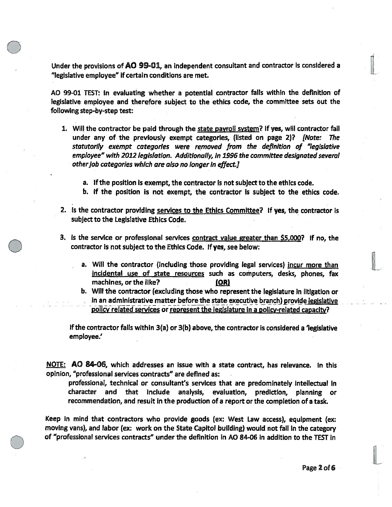Under the provisions of AO 99-01, an independent consultant and contractor is considered <sup>a</sup> "legislative employee" if certain conditions are met.

AO 99-01 TEST: In evaluating whether <sup>a</sup> potential contractor falls within the definition of legislative employee and therefore subject to the ethics code, the committee sets out the following step-by-step test:

- 1. Will the contractor be paid through the state payroll system? If yes, will contractor fall under any of the previously exempt categories, (listed on page 2)? [Note: The statutorily exemp<sup>t</sup> categories were removed from the definition of "legislative employee" with 2012 legIslation. Additionally, in 1996 the committee designated several other job categories which are also no longer in effect.]
	- a. If the position is exempt, the contractor is not subject to the ethics code.
	- b. if the position is not exempt, the contractor is subject to the ethics code.
- 2. Is the contractor providing services to the Ethics Committee? If yes, the contractor is subject to the Legislative Ethics Code.
- 3. Is the service or professional services contract value greater than \$5,000? If no, the contractor is not subject to the Ethics Code. If yes, see below:
	- a. Will the contractor (including those providing legal services) incur more than incidental use of state resources such as computers, desks, <sup>p</sup>hones, fax machines, or the like?  $[OR]$
	- b. Will the contractor (excluding those who represen<sup>t</sup> the legislature in litigation or in an administrative matter before-the state executive branch) provide legislative policy related services or represen<sup>t</sup> the legislature in <sup>a</sup> policy-related capacity?

If the contractor falls within 3(a) or 3(b) above, the contractor is considered <sup>a</sup> 'legislative employee.'

NOTE: AO 84-06, which addresses an issue with a state contract, has relevance. In this opinion, "professional services contracts" are defined as:

professional, technical or consultant's services that are predominately intellectual in character and that include analysis, evaluation, prediction, <sup>p</sup>lanning or recommendation, and result in the production of <sup>a</sup> repor<sup>t</sup> or the completion of <sup>a</sup> task.

Keep In mind that contractors who provide goods (ex: West Law access), equipment (ex: moving vans), and labor (ex: work on the State Capitol building) would not fall in the category of "professional services contracts" under the definition in AO 84-06 in addition to the TEST in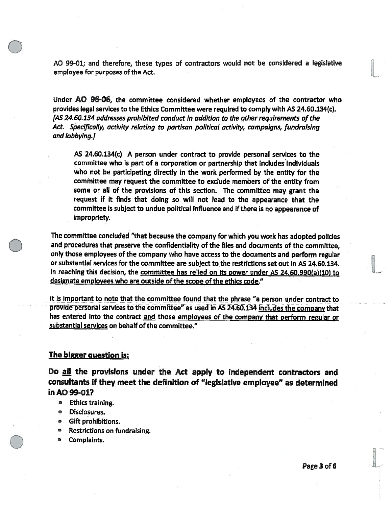AO 99-01; and therefore, these types of contractors would not be considered <sup>a</sup> legislative employee for purposes of the Act.

Under AO 96-06, the committee considered whether employees of the contractor who provides legal services to the Ethics Committee were required to comply with AS 24.60.134(c). (AS 24.60.134 addresses prohibited conduct in addition to the other requirements of the Act. Specifically, activity relating to partisan political activity, campaigns, fundraising and lobbying.]

AS 24.60.134(c) A person under contract to provide personal services to the committee who is par<sup>t</sup> of <sup>a</sup> corporation or partnership that Includes individuals who not be participating directly in the work performed by the entity for the committee may reques<sup>t</sup> the committee to exclude members of the entity from some or all of the provisions of this section. The committee may gran<sup>t</sup> the reques<sup>t</sup> if it finds that doing so. will not lead to the appearance that the committee is subject to undue political influence and if there is no appearance of impropriety.

The committee concluded "that because the company for which you work has adopted policies and procedures that preserve the confidentiality of the files and documents of the committee, only those employees of the company who have access to the documents and perform regular or substantial services for the committee are subject to the restrictions set out in AS 24.60.134. In reaching this decision, the committee has relied on its power under AS 24.60.990(a)(10) to designate employees who are outside of the scope of the ethics code."

It is important to note that the committee found that the phrase "a person under contract to provide personal services to the committee" as used in AS 24.60.134 includes the company that has entered into the contract and those employees of the company that perform regular or substantial services on behalf of the committee."

#### The bigger question is:

Do all the provisions under the Act apply to independent contractors and consultants if they meet the definition of "legislative employee" as determined in AO 99-01?

- Ethics training.
- $\bullet$ Disclosures.
- . Gift prohibitions.
- •Restrictions on fundraising.
- •Complaints.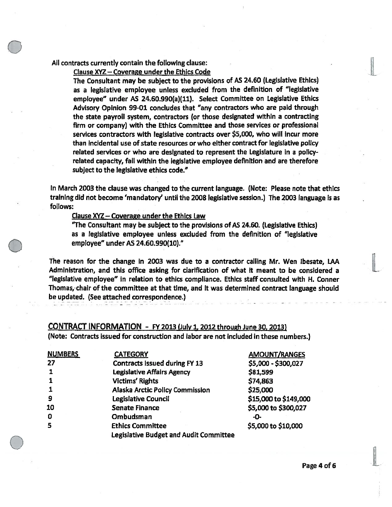### All contracts currently contain the following clause:

Clause XYZ— Coverage under the Ethics Code

The Consultant may be subject to the provisions of AS 24.60 (LegIslative Ethics) as <sup>a</sup> legislative employee unless excluded from the definition of "legislative employee" under AS 24.60.990(a)(11). Select Committee on Legislative Ethics Advisory Opinion 99-01 concludes that "any contractors who are paid through the state payroll system, contractors (or those designated within <sup>a</sup> contracting firm or company) with the Ethics Committee and those services or professional services contractors with legislative contracts over \$5,000, who will Incur more than incidental use of state resources or who either contract for legislative policy related services or who are designated to represen<sup>t</sup> the Legislature in <sup>a</sup> policyrelated capacity, fall within the legislative employee definition and are therefore subject to the legislative ethics code."

In March 2003 the clause was changed to the current language. (Note: Please note that ethics training did not become 'mandatory' until the 2008 legislative session.) The 2003 language is as follows:

Clause XYZ — Coverage under the Ethics Law

"The Consultant may be subject to the provisions of AS 24.60. (Legislative Ethics) as <sup>a</sup> legislative employee unless excluded from the definition of "legislative employee" under AS 24.60.990(10)."

The reason for the change in 2003 was due to <sup>a</sup> contractor calling Mr. Wen lbesate, LAA Administration, and this office asking for clarification of what it meant to be considered <sup>a</sup> "legislative employee" in relation to ethics compliance. Ethics staff consulted with H. Conner Thomas,-chajr àf the committee at that time, and it was determined contract language should be updated. (See attached correspondence.)

## CONTRACT INFORMATION - FY <sup>2013</sup> (July 1, <sup>2012</sup> through June 30, 2013) (Note: Contracts issued for construction and labor are not included in these numbers.)

| <b>NUMBERS</b> | <b>CATEGORY</b>                        | <b>AMOUNT/RANGES</b>  |
|----------------|----------------------------------------|-----------------------|
| -27            | <b>Contracts issued during FY 13</b>   | \$5,000 - \$300,027   |
|                | <b>Legislative Affairs Agency</b>      | \$81,599              |
|                | <b>Victims' Rights</b>                 | \$74,863              |
|                | Alaska Arctic Policy Commission        | \$25,000              |
| 9              | Legislative Council                    | \$15,000 to \$149,000 |
| 10             | <b>Senate Finance</b>                  | \$5,000 to \$300,027  |
| 0              | Ombudsman                              | -0-                   |
| 5              | <b>Ethics Committee</b>                | \$5,000 to \$10,000   |
|                | Legislative Budget and Audit Committee |                       |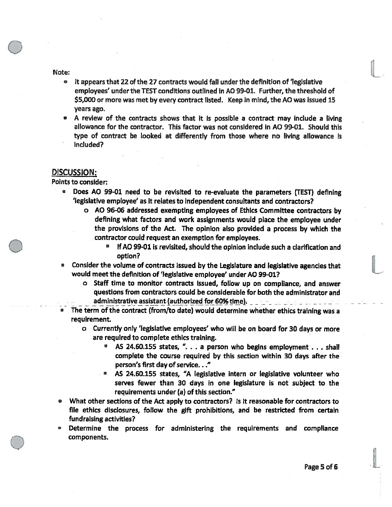Note:

- it appears that 22 of the 27 contracts would fall under the definition of 'legislative employees' under the TEST conditions outlined in AO 99-01. Further, the threshold of \$5,000 or more was met by every contract listed. Keep in mind, the AO was issued 15 years ago.
- A review of the contracts shows that it is possible <sup>a</sup> contract may include <sup>a</sup> living allowance for the contractor. This factor was not considered in AO 99-01. Should this type of contract be looked at differently from those where no living allowance Is included?

#### DISCUSSION:

Points to consider:

- $\bullet$  Does AO 99-01 need to be revisited to re-evaluate the parameters (TEST) defining 'legislative employee' as it relates to independent consuftants and contractors?
	- <sup>o</sup> AO 96-06 addressed exempting employees of Ethics Committee contractors by defining what factors and work assignments would <sup>p</sup>lace the employee under the provisions of the Act. The opinion also provided <sup>a</sup> process by which the contractor could reques<sup>t</sup> an exemption for employees.
		- If AO 99-01 is revisited, should the opinion include such <sup>a</sup> clarification and option?
- • Consider the volume of contracts issued by the Legislature and legislative agencies that would meet the definition of 'legislative employee' under AO 99-01?
	- <sup>o</sup> Staff time to monftor contracts issued, follow up on compliance, and answer questions from contractors could be considerable for both the administrator and administrative assistant (authorized for 60% time). **All and the set of the set of the set of the set of the set o**
- The term of the contract (from/to date) would determine whether ethics training was a requirement.
	- <sup>o</sup> Currently only 'legislative employees' who will be on board for 30 days or more are required to complete ethics training.
		- AS 24.60.155 states, ". . . <sup>a</sup> person who begins employment . . . shall complete the course required by this section within 30 days after the person's first day of service. . ."
		- AS 24.60.155 states, "A legislative intern or legislative volunteer who serves fewer than 30 days in one legislature is not subject to the requirements under (a) of this section."
- What other sections of the Act apply to contractors? Is it reasonable for contractors to file ethics disclosures, follow the gift prohibitions, and be restricted from certain fundraising activities?
- Determine the process for administering the requirements and compliance components.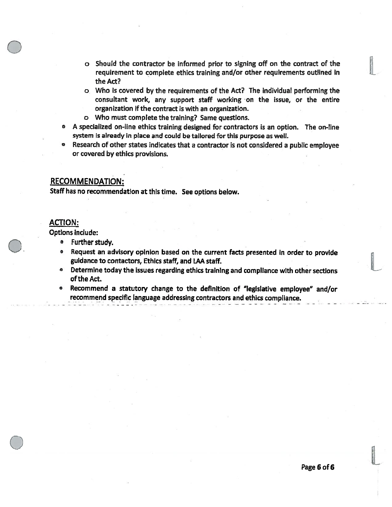- <sup>o</sup> Should the contractor be informed prior to signing off on the contract of the requirement to complete ethics training and/or other requirements outlined in the Act?
- <sup>o</sup> Who is covered by the requirements of the Act? The individual performing the consultant work, any support staff working on the issue, or the entire organization if the contract is with an organization.
- <sup>o</sup> Who must complete the training? Same questions.
- A specialized on-line ethics training designed for contractors is an option. The on-line system is already in place and could be tailored for this purpose as well.
- • Research of other states indicates that <sup>a</sup> contractor is not considered <sup>a</sup> public employee or covered by ethics provisions.

## RECOMMENDATION:

Staff has no recommendation at this time. See options below.

## ACTION:

Options include:

- Further study. And the study of the study of the study of the study of the study of the study of the study of the study of the study of the study of the study of the study of the study of the study of the study of the st
- $\bullet$  Request an advisory opinion based on the current facts presented in order to provide guidance to contactors, Ethics staff, and LAA staff.
- $\bullet$  Determine today the issues regarding ethics training and compliance with other sections of the Act.
- Recommend <sup>a</sup> statutory change to the definition of "legislative employee" and/or recommend specific language addressing contractors and ethics compliance.

n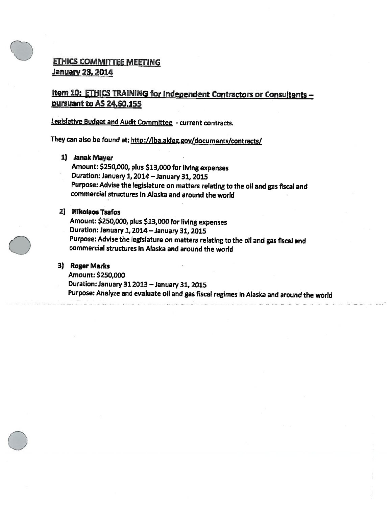# ETHICS COMMITTEE MEETING January 23, 2014

# Item 10: ETHICS TRAINING for Independent Contractors or Consultants pursuant to AS 24.60.155

## Legislative Budget and Audit Committee - current contracts.

They can also be found at: http://lba.akieg.gov/documents/contracts/

## 1) Janak Mayer

Amount: \$250,000, <sup>p</sup>lus \$13,000 for living expenses Duration: January 1, <sup>2014</sup> — January 31, <sup>2015</sup> Purpose: Advise the legislature on matters relating to the oil and gas fiscal and commercial structures in Alaska and around the world

## 2) Nlkolaos Tsafos

Amount: \$250,000, <sup>p</sup>lus \$13,000 for living expenses Duration: January 1, <sup>2014</sup> —January 31, <sup>2015</sup> Purpose: Advise the legislature on matters relating to the oil and gas fiscal and commercial structures in Alaska and around the world

## 3) Roger Marks

Amount: \$250,000

Duration: January31 <sup>2013</sup> — January 31, <sup>2015</sup>

Purpose: Analyze and evaluate oil and gas fiscal regimes in Alaska and around the world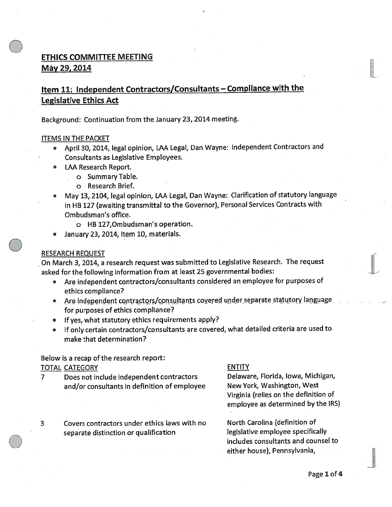# ETHICS COMMITTEE MEETING May 29, 2014

# Item 11: Independent Contractors/Consultants — Compliance with the Legislative Ethics Act

Background: Continuation from the January 23, <sup>2014</sup> meeting.

#### ITEMS IN THE PACKET

- April 30, 2014, legal opinion, LAA Legal, Dan Wayne: Independent Contractors and Consultants as Legislative Employees.
- LAA Research Report.
	- <sup>o</sup> Summary Table.
	- <sup>o</sup> Research Brief.
- • May 13, 2104, legal opinion, LAA Legal, Dan Wayne: Clarification of statutory language in HB <sup>127</sup> (awaiting transmittal to the Governor), Personal Services Contracts with Ombudsman's office.
	- <sup>o</sup> HB127,Ombudsman's operation.
- •January 23, 2014, Item 10, materials.

## RESEARCH REQUEST

On March 3, 2014, <sup>a</sup> research reques<sup>t</sup> was submitted to Legislative Research. The reques<sup>t</sup> asked for the following information from at least 25 governmental bodies:

- Are independent contractors/consultants considered an employee for purposes of ethics compliance?
- Are independent contractors/consultants covered under separate statutory language for purposes of ethics compliance?
- If yes, what statutory ethics requirements apply?
- • If only certain contractors/consultants are covered, what detailed criteria are used to make that determination?

## Below is <sup>a</sup> recap of the research report: TOTAL CATEGORY ENTITY

- <sup>7</sup> Does not include independent contractors Delaware, Florida, Iowa, Michigan, and/or consultants in definition of employee Mew York, Washington, West
- 3 Covers contractors under ethics laws with no North Carolina (definition of separate distinction or qualification decomposition legislative employee specifically

Virginia (relies on the definition of employee as determined by the IRS)

includes consultants and counsel to either house), Pennsylvania,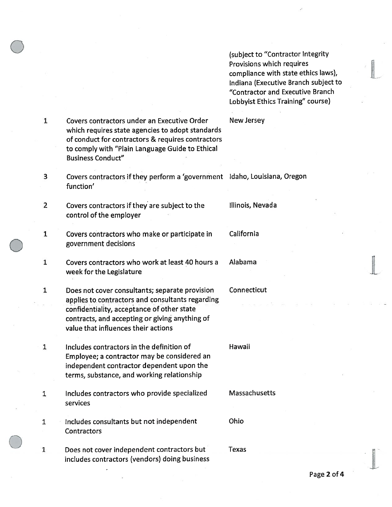(subject to "Contractor Integrity Provisions which requires compliance with state ethics laws), Indiana (Executive Branch subject to "Contractor and Executive Branch Lobbyist Ethics Training" course)

1 Covers contractors under an Executive Order New Jersey which requires state agencies to adopt standards of conduct for contractors & requires contractors to comply with "Plain Language Guide to Ethical Business Conduct"

- 3 Covers contractors if they perform <sup>a</sup> 'government Idaho, Louisiana, Oregon function'
- 2 Covers contractors if they are subject to the Illinois, Nevada control of the employer
- 1. Covers contractors who make or participate in California governmen<sup>t</sup> decisions
- 1 Covers contractors who work at least 40 hours <sup>a</sup> Alabama week for the Legislature
- 1 Does not cover consultants; separate provision Connecticut applies to contractors and consultants regarding confidentiality, acceptance of other state contracts, and accepting or giving anything of value that influences their actions
- 1 Includes contractors in the definition of Hawaii Employee; <sup>a</sup> contractor may be considered an independent contractor dependent upon the terms, substance, and working relationship
- 1 Includes contractors who provide specialized Massachusetts services
- 1 Includes consultants but not independent Ohio **Contractors**
- 1 Does not cover independent contractors but Texas includes contractors (vendors) doing business

Page 2 of 4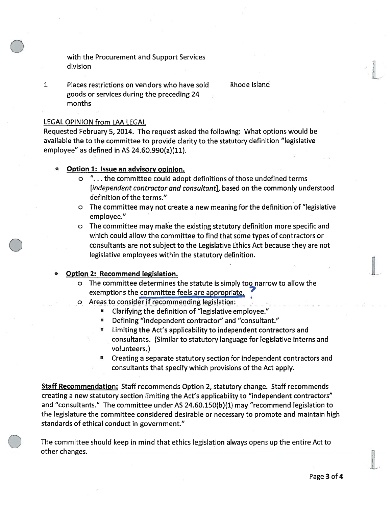with the Procurement and Support Services division

1 Places restrictions on vendors who have sold Rhode Island goods or services during the preceding 24 months

IL

#### LEGAL OPINION from LAA LEGAL

Requested February 5, 2014. The reques<sup>t</sup> asked the following: What options would be available the to the committee to provide clarity to the statutory definition "legislative employee" as defined in AS 24.60.990(a)(11).

- • Option 1: Issue an advisory opinion.
	- <sup>o</sup> ". . . the committee could adopt definitions of those undefined terms [independent contractor and consultant], based on the commonly understood definition of the terms."
	- <sup>o</sup> The committee may not create <sup>a</sup> new meaning for the definition of "legislative employee."
	- <sup>o</sup> The committee may make the existing statutory definition more specific and which could allow the committee to find that some types of contractors or consultants are not subject to the Legislative Ethics Act because they are not legislative employees within the statutory definition.

## Option 2: Recommend legislation.

- <sup>o</sup> The committee determines the statute is simply too narrow to allow the exemptions the committee feels are appropriate.
- o Areas to consider if recommending legislation:
	- Clarifying the definition of "legislative employee."
	- Defining "independent contractor" and "consultant."  $\blacksquare$
	- • Limiting the Act's applicability to independent contractors and consultants. (Similar to statutory language for legislative interns and volunteers.)
	- • Creating <sup>a</sup> separate statutory section for independent contractors and consultants that specify which provisions of the Act apply.

Staff Recommendation: Staff recommends Option 2, statutory change. Staff recommends creating <sup>a</sup> new statutory section limiting the Act's applicability to "independent contractors" and "consultants." The committee under AS 24.60.150(b)(1) may "recommend legislation to the legislature the committee considered desirable or necessary to promote and maintain high standards of ethical conduct in government."

The committee should keep in mind that ethics legislation always opens up the entire Act to other changes.